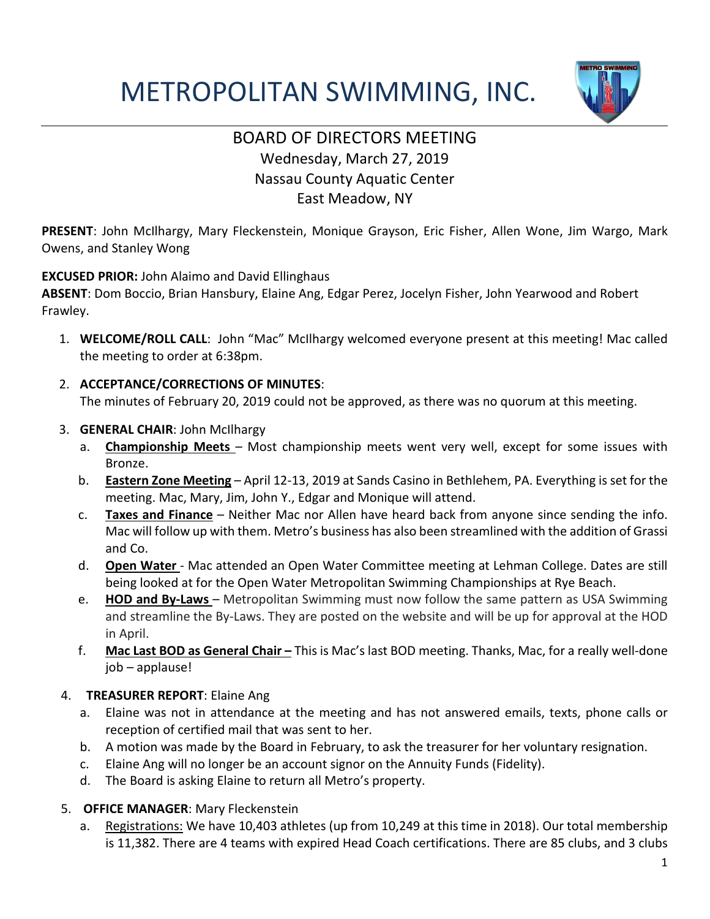# METROPOLITAN SWIMMING, INC.



# BOARD OF DIRECTORS MEETING Wednesday, March 27, 2019 Nassau County Aquatic Center East Meadow, NY

**PRESENT**: John McIlhargy, Mary Fleckenstein, Monique Grayson, Eric Fisher, Allen Wone, Jim Wargo, Mark Owens, and Stanley Wong

#### **EXCUSED PRIOR:** John Alaimo and David Ellinghaus

**ABSENT**: Dom Boccio, Brian Hansbury, Elaine Ang, Edgar Perez, Jocelyn Fisher, John Yearwood and Robert Frawley.

- 1. **WELCOME/ROLL CALL**: John "Mac" McIlhargy welcomed everyone present at this meeting! Mac called the meeting to order at 6:38pm.
- 2. **ACCEPTANCE/CORRECTIONS OF MINUTES**:

The minutes of February 20, 2019 could not be approved, as there was no quorum at this meeting.

- 3. **GENERAL CHAIR**: John McIlhargy
	- a. **Championship Meets** Most championship meets went very well, except for some issues with Bronze.
	- b. **Eastern Zone Meeting** April 12-13, 2019 at Sands Casino in Bethlehem, PA. Everything is set for the meeting. Mac, Mary, Jim, John Y., Edgar and Monique will attend.
	- c. **Taxes and Finance** Neither Mac nor Allen have heard back from anyone since sending the info. Mac will follow up with them. Metro's business has also been streamlined with the addition of Grassi and Co.
	- d. **Open Water**  Mac attended an Open Water Committee meeting at Lehman College. Dates are still being looked at for the Open Water Metropolitan Swimming Championships at Rye Beach.
	- e. **HOD and By-Laws** Metropolitan Swimming must now follow the same pattern as USA Swimming and streamline the By-Laws. They are posted on the website and will be up for approval at the HOD in April.
	- f. **Mac Last BOD as General Chair –** This is Mac's last BOD meeting. Thanks, Mac, for a really well-done job – applause!

## 4. **TREASURER REPORT**: Elaine Ang

- a. Elaine was not in attendance at the meeting and has not answered emails, texts, phone calls or reception of certified mail that was sent to her.
- b. A motion was made by the Board in February, to ask the treasurer for her voluntary resignation.
- c. Elaine Ang will no longer be an account signor on the Annuity Funds (Fidelity).
- d. The Board is asking Elaine to return all Metro's property.
- 5. **OFFICE MANAGER**: Mary Fleckenstein
	- a. Registrations: We have 10,403 athletes (up from 10,249 at this time in 2018). Our total membership is 11,382. There are 4 teams with expired Head Coach certifications. There are 85 clubs, and 3 clubs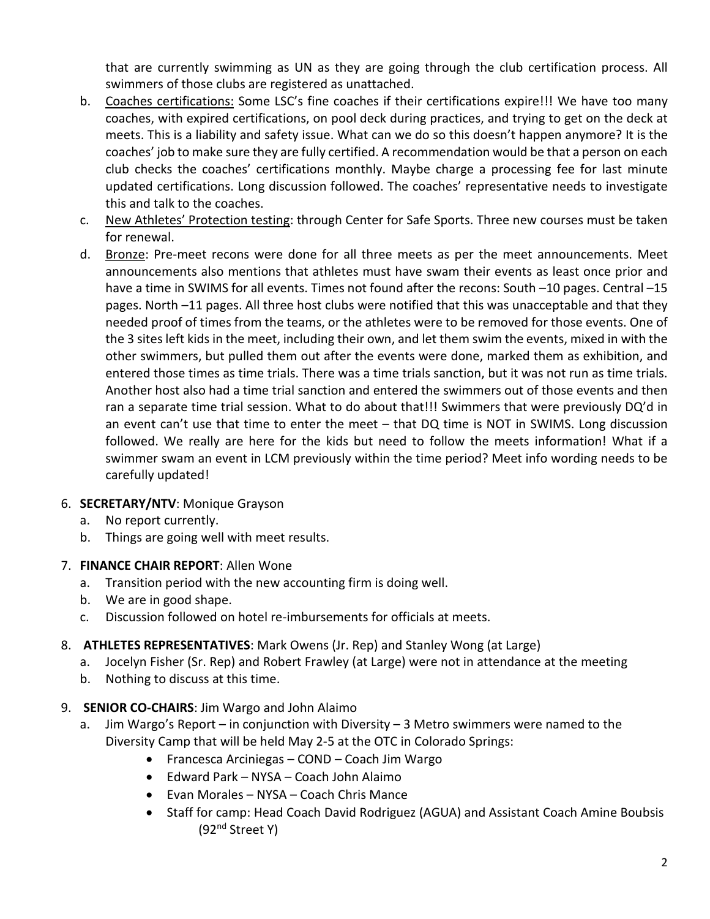that are currently swimming as UN as they are going through the club certification process. All swimmers of those clubs are registered as unattached.

- b. Coaches certifications: Some LSC's fine coaches if their certifications expire!!! We have too many coaches, with expired certifications, on pool deck during practices, and trying to get on the deck at meets. This is a liability and safety issue. What can we do so this doesn't happen anymore? It is the coaches' job to make sure they are fully certified. A recommendation would be that a person on each club checks the coaches' certifications monthly. Maybe charge a processing fee for last minute updated certifications. Long discussion followed. The coaches' representative needs to investigate this and talk to the coaches.
- c. New Athletes' Protection testing: through Center for Safe Sports. Three new courses must be taken for renewal.
- d. Bronze: Pre-meet recons were done for all three meets as per the meet announcements. Meet announcements also mentions that athletes must have swam their events as least once prior and have a time in SWIMS for all events. Times not found after the recons: South -10 pages. Central -15 pages. North –11 pages. All three host clubs were notified that this was unacceptable and that they needed proof of times from the teams, or the athletes were to be removed for those events. One of the 3 sites left kids in the meet, including their own, and let them swim the events, mixed in with the other swimmers, but pulled them out after the events were done, marked them as exhibition, and entered those times as time trials. There was a time trials sanction, but it was not run as time trials. Another host also had a time trial sanction and entered the swimmers out of those events and then ran a separate time trial session. What to do about that!!! Swimmers that were previously DQ'd in an event can't use that time to enter the meet – that DQ time is NOT in SWIMS. Long discussion followed. We really are here for the kids but need to follow the meets information! What if a swimmer swam an event in LCM previously within the time period? Meet info wording needs to be carefully updated!

## 6. **SECRETARY/NTV**: Monique Grayson

- a. No report currently.
- b. Things are going well with meet results.
- 7. **FINANCE CHAIR REPORT**: Allen Wone
	- a. Transition period with the new accounting firm is doing well.
	- b. We are in good shape.
	- c. Discussion followed on hotel re-imbursements for officials at meets.
- 8. **ATHLETES REPRESENTATIVES**: Mark Owens (Jr. Rep) and Stanley Wong (at Large)
	- a. Jocelyn Fisher (Sr. Rep) and Robert Frawley (at Large) were not in attendance at the meeting
	- b. Nothing to discuss at this time.
- 9. **SENIOR CO-CHAIRS**: Jim Wargo and John Alaimo
	- a. Jim Wargo's Report in conjunction with Diversity 3 Metro swimmers were named to the Diversity Camp that will be held May 2-5 at the OTC in Colorado Springs:
		- Francesca Arciniegas COND Coach Jim Wargo
		- Edward Park NYSA Coach John Alaimo
		- Evan Morales NYSA Coach Chris Mance
		- Staff for camp: Head Coach David Rodriguez (AGUA) and Assistant Coach Amine Boubsis (92nd Street Y)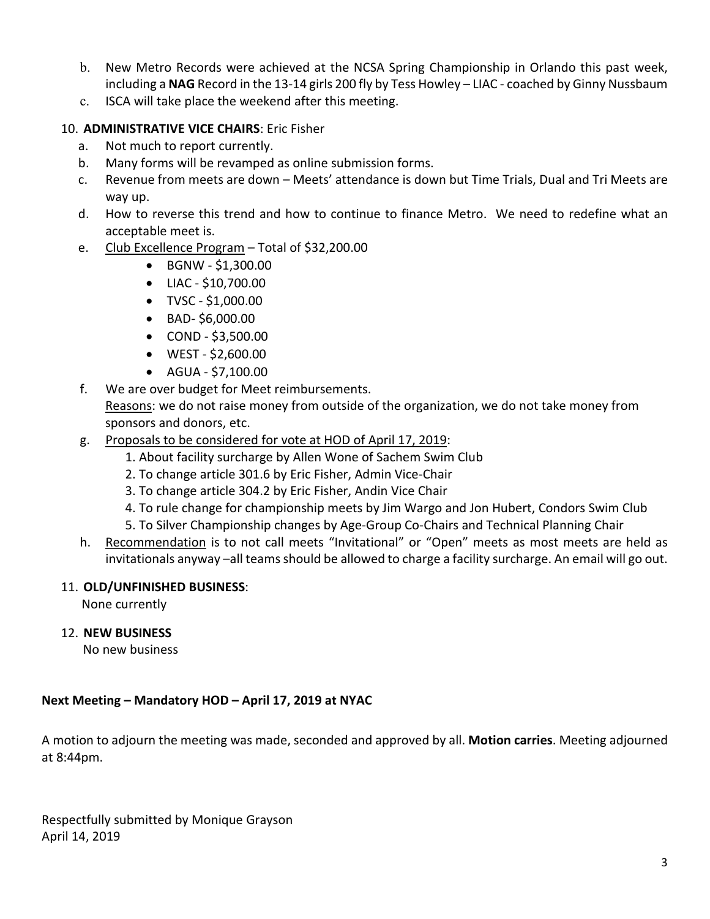- b. New Metro Records were achieved at the NCSA Spring Championship in Orlando this past week, including a **NAG** Record in the 13-14 girls 200 fly by Tess Howley – LIAC - coached by Ginny Nussbaum
- c. ISCA will take place the weekend after this meeting.

#### 10. **ADMINISTRATIVE VICE CHAIRS**: Eric Fisher

- a. Not much to report currently.
- b. Many forms will be revamped as online submission forms.
- c. Revenue from meets are down Meets' attendance is down but Time Trials, Dual and Tri Meets are way up.
- d. How to reverse this trend and how to continue to finance Metro. We need to redefine what an acceptable meet is.
- e. Club Excellence Program Total of \$32,200.00
	- BGNW \$1,300.00
	- LIAC \$10,700.00
	- TVSC \$1,000.00
	- BAD- \$6,000.00
	- COND \$3,500.00
	- WEST \$2,600.00
	- AGUA \$7,100.00
- f. We are over budget for Meet reimbursements. Reasons: we do not raise money from outside of the organization, we do not take money from sponsors and donors, etc.
- g. Proposals to be considered for vote at HOD of April 17, 2019:
	- 1. About facility surcharge by Allen Wone of Sachem Swim Club
	- 2. To change article 301.6 by Eric Fisher, Admin Vice-Chair
	- 3. To change article 304.2 by Eric Fisher, Andin Vice Chair
	- 4. To rule change for championship meets by Jim Wargo and Jon Hubert, Condors Swim Club
	- 5. To Silver Championship changes by Age-Group Co-Chairs and Technical Planning Chair
- h. Recommendation is to not call meets "Invitational" or "Open" meets as most meets are held as invitationals anyway –all teams should be allowed to charge a facility surcharge. An email will go out.

#### 11. **OLD/UNFINISHED BUSINESS**:

None currently

#### 12. **NEW BUSINESS**

No new business

#### **Next Meeting – Mandatory HOD – April 17, 2019 at NYAC**

A motion to adjourn the meeting was made, seconded and approved by all. **Motion carries**. Meeting adjourned at 8:44pm.

Respectfully submitted by Monique Grayson April 14, 2019